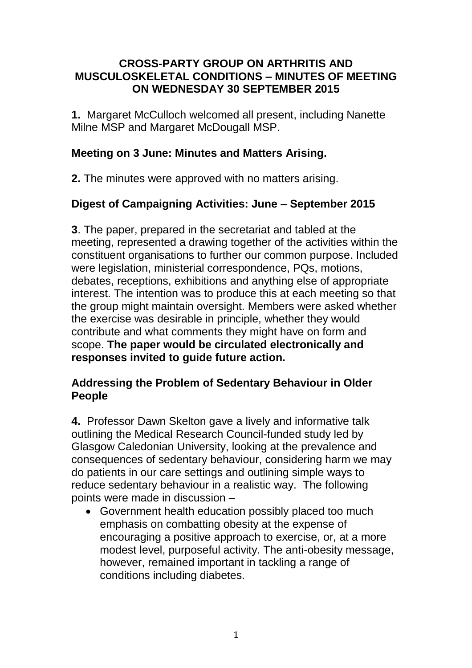#### **CROSS-PARTY GROUP ON ARTHRITIS AND MUSCULOSKELETAL CONDITIONS – MINUTES OF MEETING ON WEDNESDAY 30 SEPTEMBER 2015**

**1.** Margaret McCulloch welcomed all present, including Nanette Milne MSP and Margaret McDougall MSP.

#### **Meeting on 3 June: Minutes and Matters Arising.**

**2.** The minutes were approved with no matters arising.

# **Digest of Campaigning Activities: June – September 2015**

**3**. The paper, prepared in the secretariat and tabled at the meeting, represented a drawing together of the activities within the constituent organisations to further our common purpose. Included were legislation, ministerial correspondence, PQs, motions, debates, receptions, exhibitions and anything else of appropriate interest. The intention was to produce this at each meeting so that the group might maintain oversight. Members were asked whether the exercise was desirable in principle, whether they would contribute and what comments they might have on form and scope. **The paper would be circulated electronically and responses invited to guide future action.**

### **Addressing the Problem of Sedentary Behaviour in Older People**

**4.** Professor Dawn Skelton gave a lively and informative talk outlining the Medical Research Council-funded study led by Glasgow Caledonian University, looking at the prevalence and consequences of sedentary behaviour, considering harm we may do patients in our care settings and outlining simple ways to reduce sedentary behaviour in a realistic way. The following points were made in discussion –

 Government health education possibly placed too much emphasis on combatting obesity at the expense of encouraging a positive approach to exercise, or, at a more modest level, purposeful activity. The anti-obesity message, however, remained important in tackling a range of conditions including diabetes.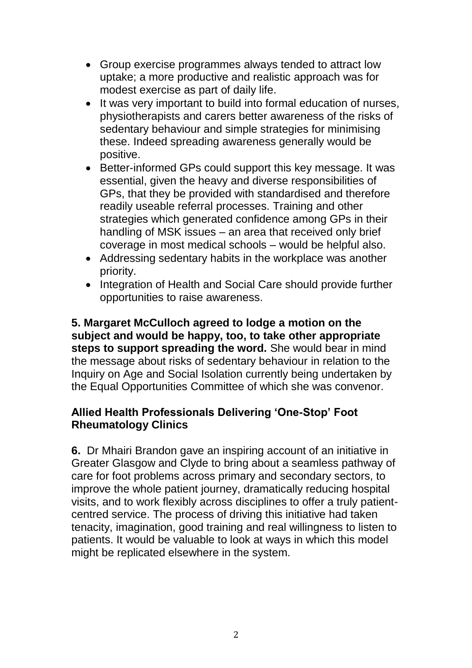- Group exercise programmes always tended to attract low uptake; a more productive and realistic approach was for modest exercise as part of daily life.
- It was very important to build into formal education of nurses, physiotherapists and carers better awareness of the risks of sedentary behaviour and simple strategies for minimising these. Indeed spreading awareness generally would be positive.
- Better-informed GPs could support this key message. It was essential, given the heavy and diverse responsibilities of GPs, that they be provided with standardised and therefore readily useable referral processes. Training and other strategies which generated confidence among GPs in their handling of MSK issues – an area that received only brief coverage in most medical schools – would be helpful also.
- Addressing sedentary habits in the workplace was another priority.
- Integration of Health and Social Care should provide further opportunities to raise awareness.

**5. Margaret McCulloch agreed to lodge a motion on the subject and would be happy, too, to take other appropriate steps to support spreading the word.** She would bear in mind the message about risks of sedentary behaviour in relation to the Inquiry on Age and Social Isolation currently being undertaken by the Equal Opportunities Committee of which she was convenor.

# **Allied Health Professionals Delivering 'One-Stop' Foot Rheumatology Clinics**

**6.** Dr Mhairi Brandon gave an inspiring account of an initiative in Greater Glasgow and Clyde to bring about a seamless pathway of care for foot problems across primary and secondary sectors, to improve the whole patient journey, dramatically reducing hospital visits, and to work flexibly across disciplines to offer a truly patientcentred service. The process of driving this initiative had taken tenacity, imagination, good training and real willingness to listen to patients. It would be valuable to look at ways in which this model might be replicated elsewhere in the system.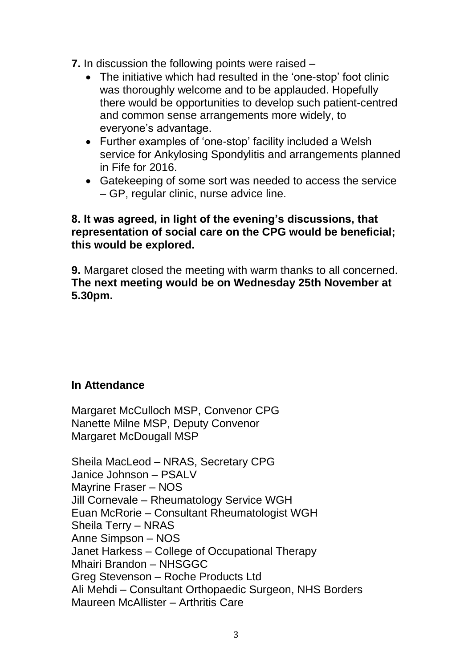**7.** In discussion the following points were raised –

- The initiative which had resulted in the 'one-stop' foot clinic was thoroughly welcome and to be applauded. Hopefully there would be opportunities to develop such patient-centred and common sense arrangements more widely, to everyone's advantage.
- Further examples of 'one-stop' facility included a Welsh service for Ankylosing Spondylitis and arrangements planned in Fife for 2016.
- Gatekeeping of some sort was needed to access the service – GP, regular clinic, nurse advice line.

#### **8. It was agreed, in light of the evening's discussions, that representation of social care on the CPG would be beneficial; this would be explored.**

**9.** Margaret closed the meeting with warm thanks to all concerned. **The next meeting would be on Wednesday 25th November at 5.30pm.**

# **In Attendance**

Margaret McCulloch MSP, Convenor CPG Nanette Milne MSP, Deputy Convenor Margaret McDougall MSP

Sheila MacLeod – NRAS, Secretary CPG Janice Johnson – PSALV Mayrine Fraser – NOS Jill Cornevale – Rheumatology Service WGH Euan McRorie – Consultant Rheumatologist WGH Sheila Terry – NRAS Anne Simpson – NOS Janet Harkess – College of Occupational Therapy Mhairi Brandon – NHSGGC Greg Stevenson – Roche Products Ltd Ali Mehdi – Consultant Orthopaedic Surgeon, NHS Borders Maureen McAllister – Arthritis Care